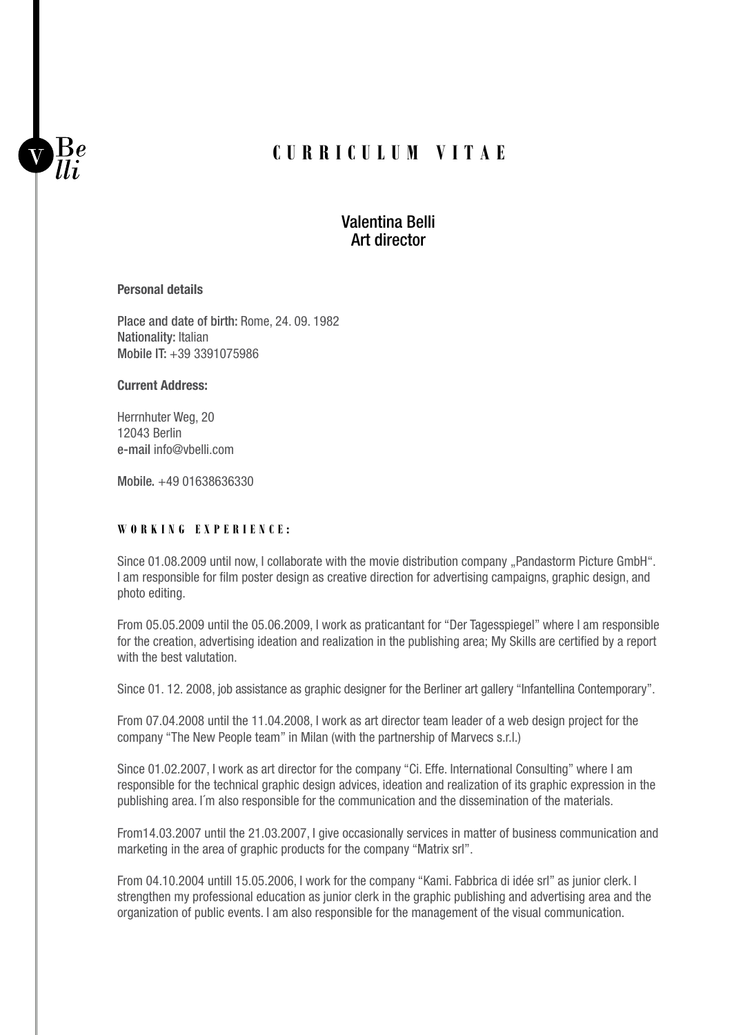# **CURRICULUM VITAE**

# Valentina Belli Art director

#### **Personal details**

 $\frac{1}{2}$ 

Place and date of birth: Rome, 24. 09. 1982 Nationality: Italian Mobile IT: +39 3391075986

### **Current Address:**

Herrnhuter Weg, 20 12043 Berlin e-mail info@vbelli.com

Mobile. +49 01638636330

### **W o r k i ng Exp erie n ce :**

Since 01.08.2009 until now, I collaborate with the movie distribution company "Pandastorm Picture GmbH". I am responsible for film poster design as creative direction for advertising campaigns, graphic design, and photo editing.

From 05.05.2009 until the 05.06.2009, I work as praticantant for "Der Tagesspiegel" where I am responsible for the creation, advertising ideation and realization in the publishing area; My Skills are certified by a report with the best valutation.

Since 01. 12. 2008, job assistance as graphic designer for the Berliner art gallery "Infantellina Contemporary".

From 07.04.2008 until the 11.04.2008, I work as art director team leader of a web design project for the company "The New People team" in Milan (with the partnership of Marvecs s.r.l.)

Since 01.02.2007, I work as art director for the company "Ci. Effe. International Consulting" where I am responsible for the technical graphic design advices, ideation and realization of its graphic expression in the publishing area. I´m also responsible for the communication and the dissemination of the materials.

From14.03.2007 until the 21.03.2007, I give occasionally services in matter of business communication and marketing in the area of graphic products for the company "Matrix srl".

From 04.10.2004 untill 15.05.2006, I work for the company "Kami. Fabbrica di idée srl" as junior clerk. I strengthen my professional education as junior clerk in the graphic publishing and advertising area and the organization of public events. I am also responsible for the management of the visual communication.